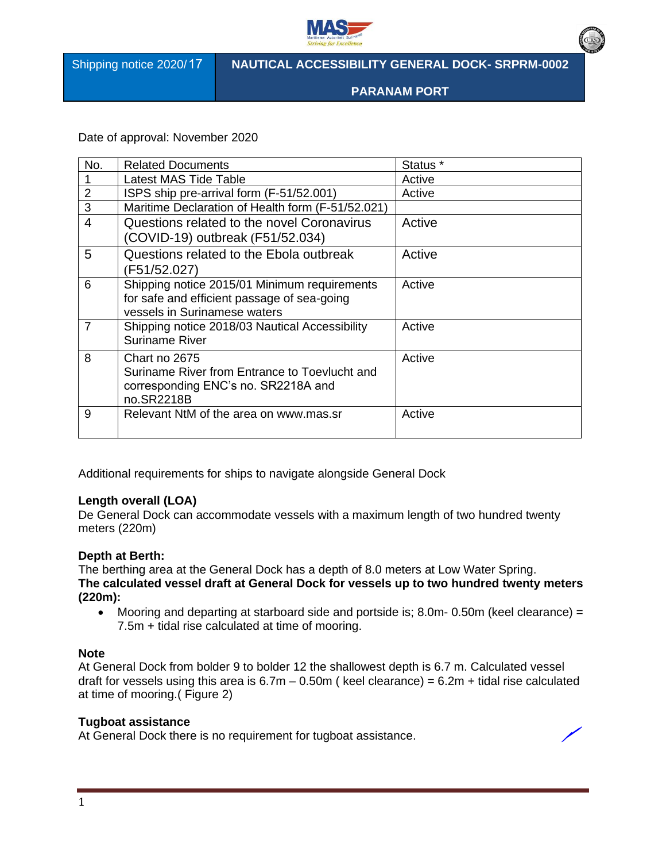

Shipping notice 2020/17

**NAUTICAL ACCESSIBILITY GENERAL DOCK- SRPRM-0002** 

**PARANAM PORT**

Date of approval: November 2020

| No.            | <b>Related Documents</b>                          | Status <sup>*</sup> |
|----------------|---------------------------------------------------|---------------------|
|                | Latest MAS Tide Table                             | Active              |
| $\overline{2}$ | ISPS ship pre-arrival form (F-51/52.001)          | Active              |
| 3              | Maritime Declaration of Health form (F-51/52.021) |                     |
| $\overline{4}$ | Questions related to the novel Coronavirus        | Active              |
|                | (COVID-19) outbreak (F51/52.034)                  |                     |
| 5              | Questions related to the Ebola outbreak           | Active              |
|                | (F51/52.027)                                      |                     |
| 6              | Shipping notice 2015/01 Minimum requirements      | Active              |
|                | for safe and efficient passage of sea-going       |                     |
|                | vessels in Surinamese waters                      |                     |
| $\overline{7}$ | Shipping notice 2018/03 Nautical Accessibility    | Active              |
|                | <b>Suriname River</b>                             |                     |
| 8              | Chart no 2675                                     | Active              |
|                | Suriname River from Entrance to Toevlucht and     |                     |
|                | corresponding ENC's no. SR2218A and               |                     |
|                | no.SR2218B                                        |                     |
| 9              | Relevant NtM of the area on www.mas.sr            | Active              |
|                |                                                   |                     |

Additional requirements for ships to navigate alongside General Dock

#### **Length overall (LOA)**

De General Dock can accommodate vessels with a maximum length of two hundred twenty meters (220m)

# **Depth at Berth:**

The berthing area at the General Dock has a depth of 8.0 meters at Low Water Spring. **The calculated vessel draft at General Dock for vessels up to two hundred twenty meters (220m):**

• Mooring and departing at starboard side and portside is; 8.0m- 0.50m (keel clearance) = 7.5m + tidal rise calculated at time of mooring.

# **Note**

At General Dock from bolder 9 to bolder 12 the shallowest depth is 6.7 m. Calculated vessel draft for vessels using this area is  $6.7m - 0.50m$  (keel clearance) =  $6.2m +$  tidal rise calculated at time of mooring.( Figure 2)

## **Tugboat assistance**

At General Dock there is no requirement for tugboat assistance.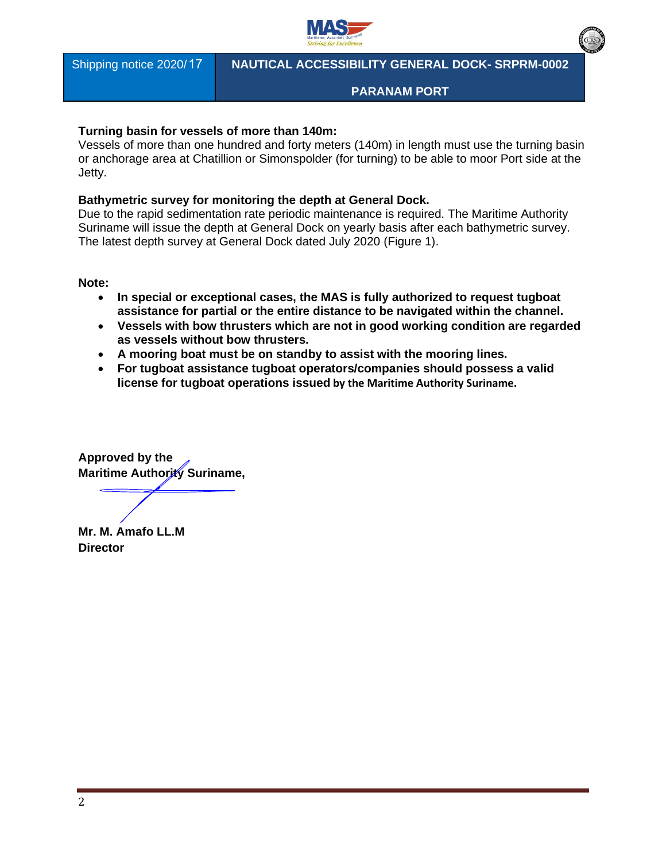

Shipping notice 2020/17

## **NAUTICAL ACCESSIBILITY GENERAL DOCK- SRPRM-0002**

### **PARANAM PORT**

### **Turning basin for vessels of more than 140m:**

Vessels of more than one hundred and forty meters (140m) in length must use the turning basin or anchorage area at Chatillion or Simonspolder (for turning) to be able to moor Port side at the Jetty.

## **Bathymetric survey for monitoring the depth at General Dock.**

Due to the rapid sedimentation rate periodic maintenance is required. The Maritime Authority Suriname will issue the depth at General Dock on yearly basis after each bathymetric survey. The latest depth survey at General Dock dated July 2020 (Figure 1).

**Note:** 

- **In special or exceptional cases, the MAS is fully authorized to request tugboat assistance for partial or the entire distance to be navigated within the channel.**
- **Vessels with bow thrusters which are not in good working condition are regarded as vessels without bow thrusters.**
- **A mooring boat must be on standby to assist with the mooring lines.**
- **For tugboat assistance tugboat operators/companies should possess a valid license for tugboat operations issued by the Maritime Authority Suriname.**

**Approved by the Maritime Authority Suriname,** 

**Mr. M. Amafo LL.M Director**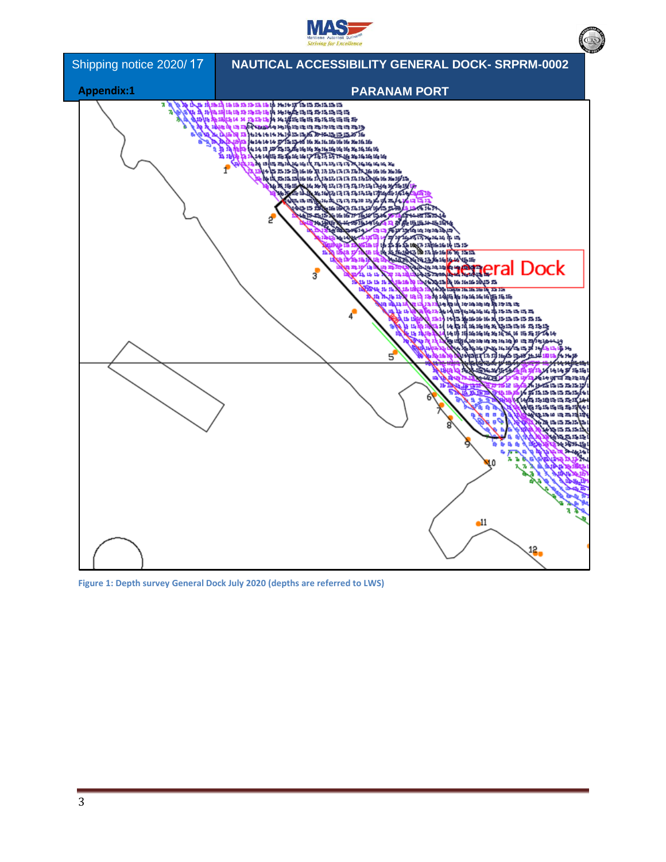



**Figure 1: Depth survey General Dock July 2020 (depths are referred to LWS)**